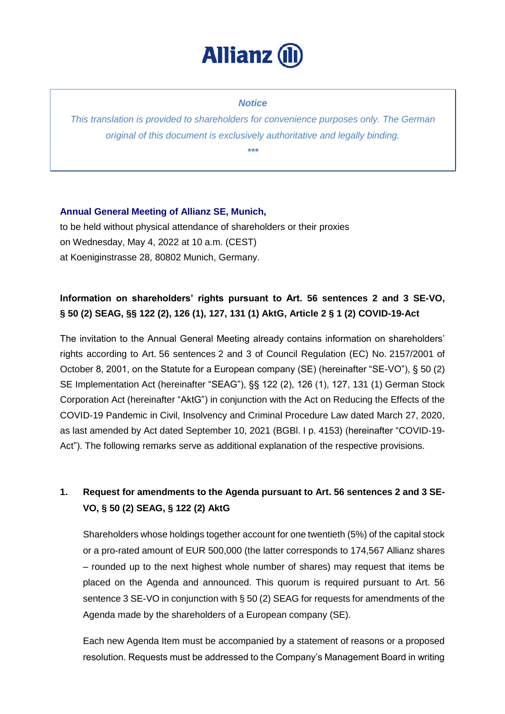

### *Notice*

*This translation is provided to shareholders for convenience purposes only. The German original of this document is exclusively authoritative and legally binding. \*\*\**

## **Annual General Meeting of Allianz SE, Munich,**

to be held without physical attendance of shareholders or their proxies on Wednesday, May 4, 2022 at 10 a.m. (CEST) at Koeniginstrasse 28, 80802 Munich, Germany.

# **Information on shareholders' rights pursuant to Art. 56 sentences 2 and 3 SE-VO, § 50 (2) SEAG, §§ 122 (2), 126 (1), 127, 131 (1) AktG, Article 2 § 1 (2) COVID-19-Act**

The invitation to the Annual General Meeting already contains information on shareholders' rights according to Art. 56 sentences 2 and 3 of Council Regulation (EC) No. 2157/2001 of October 8, 2001, on the Statute for a European company (SE) (hereinafter "SE-VO"), § 50 (2) SE Implementation Act (hereinafter "SEAG"), §§ 122 (2), 126 (1), 127, 131 (1) German Stock Corporation Act (hereinafter "AktG") in conjunction with the Act on Reducing the Effects of the COVID-19 Pandemic in Civil, Insolvency and Criminal Procedure Law dated March 27, 2020, as last amended by Act dated September 10, 2021 (BGBl. I p. 4153) (hereinafter "COVID-19- Act"). The following remarks serve as additional explanation of the respective provisions.

# **1. Request for amendments to the Agenda pursuant to Art. 56 sentences 2 and 3 SE-VO, § 50 (2) SEAG, § 122 (2) AktG**

Shareholders whose holdings together account for one twentieth (5%) of the capital stock or a pro-rated amount of EUR 500,000 (the latter corresponds to 174,567 Allianz shares – rounded up to the next highest whole number of shares) may request that items be placed on the Agenda and announced. This quorum is required pursuant to Art. 56 sentence 3 SE-VO in conjunction with § 50 (2) SEAG for requests for amendments of the Agenda made by the shareholders of a European company (SE).

Each new Agenda Item must be accompanied by a statement of reasons or a proposed resolution. Requests must be addressed to the Company's Management Board in writing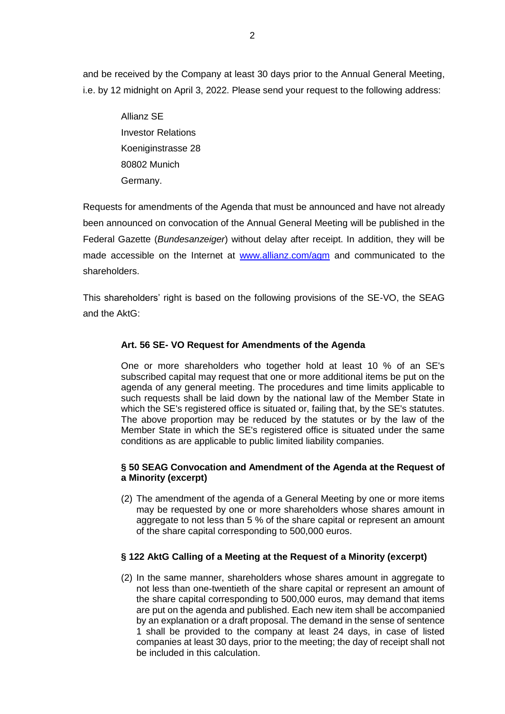and be received by the Company at least 30 days prior to the Annual General Meeting, i.e. by 12 midnight on April 3, 2022. Please send your request to the following address:

> Allianz SE Investor Relations Koeniginstrasse 28 80802 Munich Germany.

Requests for amendments of the Agenda that must be announced and have not already been announced on convocation of the Annual General Meeting will be published in the Federal Gazette (*Bundesanzeiger*) without delay after receipt. In addition, they will be made accessible on the Internet at [www.allianz.com/agm](http://www.allianz.com/agm) and communicated to the shareholders.

This shareholders' right is based on the following provisions of the SE-VO, the SEAG and the AktG:

## **Art. 56 SE- VO Request for Amendments of the Agenda**

One or more shareholders who together hold at least 10 % of an SE's subscribed capital may request that one or more additional items be put on the agenda of any general meeting. The procedures and time limits applicable to such requests shall be laid down by the national law of the Member State in which the SE's registered office is situated or, failing that, by the SE's statutes. The above proportion may be reduced by the statutes or by the law of the Member State in which the SE's registered office is situated under the same conditions as are applicable to public limited liability companies.

## **§ 50 SEAG Convocation and Amendment of the Agenda at the Request of a Minority (excerpt)**

(2) The amendment of the agenda of a General Meeting by one or more items may be requested by one or more shareholders whose shares amount in aggregate to not less than 5 % of the share capital or represent an amount of the share capital corresponding to 500,000 euros.

## **§ 122 AktG Calling of a Meeting at the Request of a Minority (excerpt)**

(2) In the same manner, shareholders whose shares amount in aggregate to not less than one-twentieth of the share capital or represent an amount of the share capital corresponding to 500,000 euros, may demand that items are put on the agenda and published. Each new item shall be accompanied by an explanation or a draft proposal. The demand in the sense of sentence 1 shall be provided to the company at least 24 days, in case of listed companies at least 30 days, prior to the meeting; the day of receipt shall not be included in this calculation.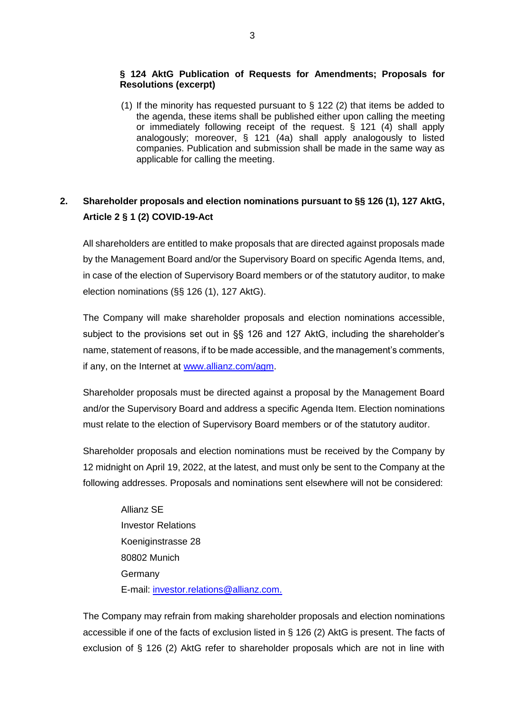## **§ 124 AktG Publication of Requests for Amendments; Proposals for Resolutions (excerpt)**

(1) If the minority has requested pursuant to § 122 (2) that items be added to the agenda, these items shall be published either upon calling the meeting or immediately following receipt of the request. § 121 (4) shall apply analogously; moreover, § 121 (4a) shall apply analogously to listed companies. Publication and submission shall be made in the same way as applicable for calling the meeting.

# **2. Shareholder proposals and election nominations pursuant to §§ 126 (1), 127 AktG, Article 2 § 1 (2) COVID-19-Act**

All shareholders are entitled to make proposals that are directed against proposals made by the Management Board and/or the Supervisory Board on specific Agenda Items, and, in case of the election of Supervisory Board members or of the statutory auditor, to make election nominations (§§ 126 (1), 127 AktG).

The Company will make shareholder proposals and election nominations accessible, subject to the provisions set out in §§ 126 and 127 AktG, including the shareholder's name, statement of reasons, if to be made accessible, and the management's comments, if any, on the Internet at [www.allianz.com/agm.](http://www.allianz.com/agm)

Shareholder proposals must be directed against a proposal by the Management Board and/or the Supervisory Board and address a specific Agenda Item. Election nominations must relate to the election of Supervisory Board members or of the statutory auditor.

Shareholder proposals and election nominations must be received by the Company by 12 midnight on April 19, 2022, at the latest, and must only be sent to the Company at the following addresses. Proposals and nominations sent elsewhere will not be considered:

> Allianz SE Investor Relations Koeniginstrasse 28 80802 Munich Germany E-mail: [investor.relations@allianz.com.](mailto:investor.relations@allianz.com)

The Company may refrain from making shareholder proposals and election nominations accessible if one of the facts of exclusion listed in § 126 (2) AktG is present. The facts of exclusion of § 126 (2) AktG refer to shareholder proposals which are not in line with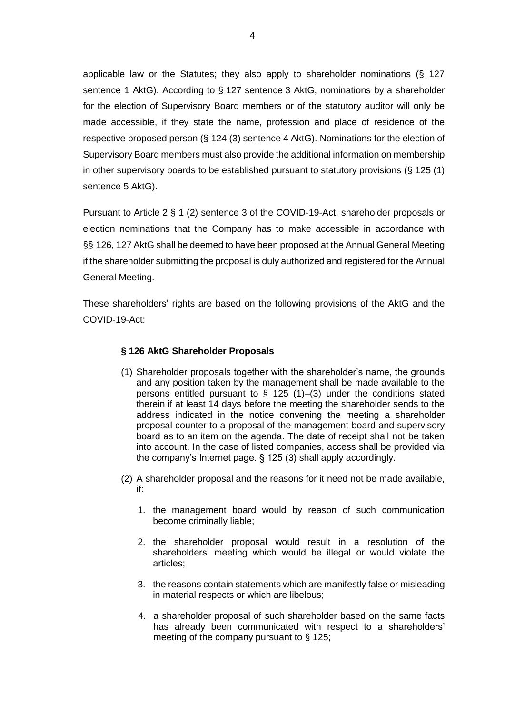applicable law or the Statutes; they also apply to shareholder nominations (§ 127 sentence 1 AktG). According to § 127 sentence 3 AktG, nominations by a shareholder for the election of Supervisory Board members or of the statutory auditor will only be made accessible, if they state the name, profession and place of residence of the respective proposed person (§ 124 (3) sentence 4 AktG). Nominations for the election of Supervisory Board members must also provide the additional information on membership in other supervisory boards to be established pursuant to statutory provisions (§ 125 (1) sentence 5 AktG).

Pursuant to Article 2 § 1 (2) sentence 3 of the COVID-19-Act, shareholder proposals or election nominations that the Company has to make accessible in accordance with §§ 126, 127 AktG shall be deemed to have been proposed at the Annual General Meeting if the shareholder submitting the proposal is duly authorized and registered for the Annual General Meeting.

These shareholders' rights are based on the following provisions of the AktG and the COVID-19-Act:

### **§ 126 AktG Shareholder Proposals**

- (1) Shareholder proposals together with the shareholder's name, the grounds and any position taken by the management shall be made available to the persons entitled pursuant to  $\S$  125 (1)–(3) under the conditions stated therein if at least 14 days before the meeting the shareholder sends to the address indicated in the notice convening the meeting a shareholder proposal counter to a proposal of the management board and supervisory board as to an item on the agenda. The date of receipt shall not be taken into account. In the case of listed companies, access shall be provided via the company's Internet page. § 125 (3) shall apply accordingly.
- (2) A shareholder proposal and the reasons for it need not be made available, if:
	- 1. the management board would by reason of such communication become criminally liable;
	- 2. the shareholder proposal would result in a resolution of the shareholders' meeting which would be illegal or would violate the articles;
	- 3. the reasons contain statements which are manifestly false or misleading in material respects or which are libelous;
	- 4. a shareholder proposal of such shareholder based on the same facts has already been communicated with respect to a shareholders' meeting of the company pursuant to § 125;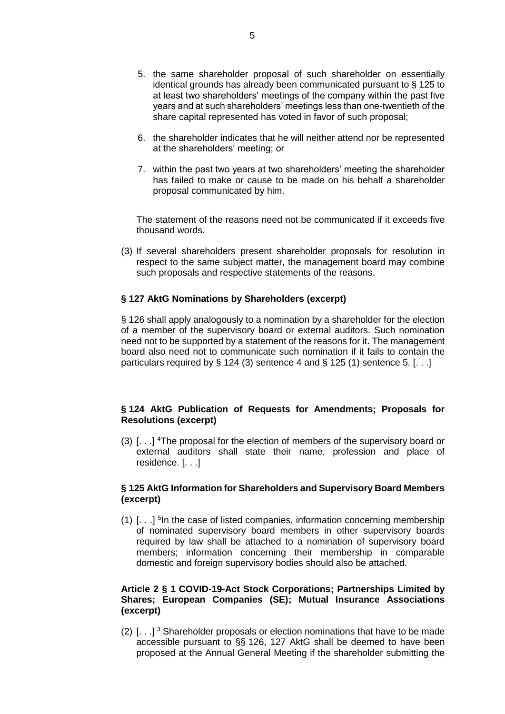- 5. the same shareholder proposal of such shareholder on essentially identical grounds has already been communicated pursuant to § 125 to at least two shareholders' meetings of the company within the past five years and at such shareholders' meetings less than one-twentieth of the share capital represented has voted in favor of such proposal;
- 6. the shareholder indicates that he will neither attend nor be represented at the shareholders' meeting; or
- 7. within the past two years at two shareholders' meeting the shareholder has failed to make or cause to be made on his behalf a shareholder proposal communicated by him.

The statement of the reasons need not be communicated if it exceeds five thousand words.

(3) If several shareholders present shareholder proposals for resolution in respect to the same subject matter, the management board may combine such proposals and respective statements of the reasons.

### **§ 127 AktG Nominations by Shareholders (excerpt)**

§ 126 shall apply analogously to a nomination by a shareholder for the election of a member of the supervisory board or external auditors. Such nomination need not to be supported by a statement of the reasons for it. The management board also need not to communicate such nomination if it fails to contain the particulars required by  $\S 124 (3)$  sentence 4 and  $\S 125 (1)$  sentence 5. [...]

## **§ 124 AktG Publication of Requests for Amendments; Proposals for Resolutions (excerpt)**

(3)  $\left[ \ldots \right]$  <sup>4</sup>The proposal for the election of members of the supervisory board or external auditors shall state their name, profession and place of residence. [. . .]

### **§ 125 AktG Information for Shareholders and Supervisory Board Members (excerpt)**

(1) [. . .] 5 In the case of listed companies, information concerning membership of nominated supervisory board members in other supervisory boards required by law shall be attached to a nomination of supervisory board members; information concerning their membership in comparable domestic and foreign supervisory bodies should also be attached.

#### **Article 2 § 1 COVID-19-Act Stock Corporations; Partnerships Limited by Shares; European Companies (SE); Mutual Insurance Associations (excerpt)**

(2)  $\left[ \ldots \right]$ <sup>3</sup> Shareholder proposals or election nominations that have to be made accessible pursuant to §§ 126, 127 AktG shall be deemed to have been proposed at the Annual General Meeting if the shareholder submitting the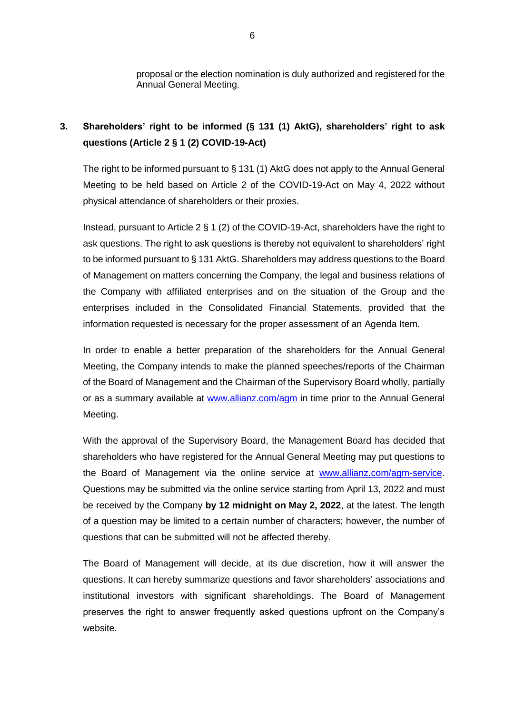proposal or the election nomination is duly authorized and registered for the Annual General Meeting.

# **3. Shareholders' right to be informed (§ 131 (1) AktG), shareholders' right to ask questions (Article 2 § 1 (2) COVID-19-Act)**

The right to be informed pursuant to § 131 (1) AktG does not apply to the Annual General Meeting to be held based on Article 2 of the COVID-19-Act on May 4, 2022 without physical attendance of shareholders or their proxies.

Instead, pursuant to Article 2 § 1 (2) of the COVID-19-Act, shareholders have the right to ask questions. The right to ask questions is thereby not equivalent to shareholders' right to be informed pursuant to § 131 AktG. Shareholders may address questions to the Board of Management on matters concerning the Company, the legal and business relations of the Company with affiliated enterprises and on the situation of the Group and the enterprises included in the Consolidated Financial Statements, provided that the information requested is necessary for the proper assessment of an Agenda Item.

In order to enable a better preparation of the shareholders for the Annual General Meeting, the Company intends to make the planned speeches/reports of the Chairman of the Board of Management and the Chairman of the Supervisory Board wholly, partially or as a summary available at [www.allianz.com/agm](http://www.allianz.com/agm) in time prior to the Annual General Meeting.

With the approval of the Supervisory Board, the Management Board has decided that shareholders who have registered for the Annual General Meeting may put questions to the Board of Management via the online service at [www.allianz.com/agm-service.](https://www.allianz.com/en/investor_relations/shareholders/annual-general-meeting.html) Questions may be submitted via the online service starting from April 13, 2022 and must be received by the Company **by 12 midnight on May 2, 2022**, at the latest. The length of a question may be limited to a certain number of characters; however, the number of questions that can be submitted will not be affected thereby.

The Board of Management will decide, at its due discretion, how it will answer the questions. It can hereby summarize questions and favor shareholders' associations and institutional investors with significant shareholdings. The Board of Management preserves the right to answer frequently asked questions upfront on the Company's website.